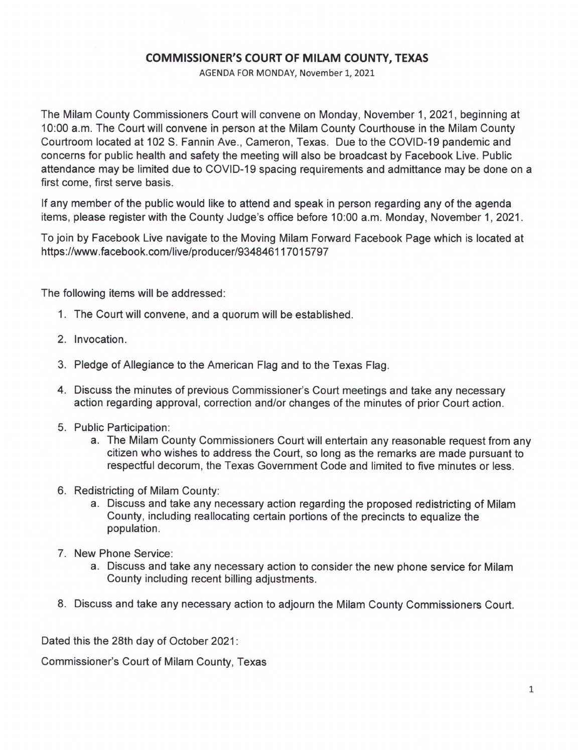## **COMMISSIONER'S COURT OF MILAM COUNTY, TEXAS**

AGENDA FOR MONDAY, November 1, 2021

The Milam County Commissioners Court will convene on Monday, November 1, 2021, beginning at 10:00 a.m. The Court will convene in person at the Milam County Courthouse in the Milam County Courtroom located at 102 S. Fannin Ave., Cameron, Texas. Due to the COVID-19 pandemic and concerns for public health and safety the meeting will also be broadcast by Facebook Live. Public attendance may be limited due to COVID-19 spacing requirements and admittance may be done on a first come, first serve basis.

If any member of the public would like to attend and speak in person regarding any of the agenda items, please register with the County Judge's office before 10:00 a.m. Monday, November 1, 2021.

To join by Facebook Live navigate to the Moving Milam Forward Facebook Page which is located at https://www.facebook.com/live/producer/934846117015797

The following items will be addressed:

- 1. The Court will convene, and a quorum will be established.
- 2. Invocation.
- 3. Pledge of Allegiance to the American Flag and to the Texas Flag.
- 4. Discuss the minutes of previous Commissioner's Court meetings and take any necessary action regarding approval, correction and/or changes of the minutes of prior Court action.
- 5. Public Participation:
	- a. The Milam County Commissioners Court will entertain any reasonable request from any citizen who wishes to address the Court, so long as the remarks are made pursuant to respectful decorum, the Texas Government Code and limited to five minutes or less.
- 6. Redistricting of Milam County:
	- a. Discuss and take any necessary action regarding the proposed redistricting of Milam County, including reallocating certain portions of the precincts to equalize the population.
- 7. New Phone Service:
	- a. Discuss and take any necessary action to consider the new phone service for Milam County including recent billing adjustments.
- 8. Discuss and take any necessary action to adjourn the Milam County Commissioners Court.

Dated this the 28th day of October 2021:

Commissioner's Court of Milam County, Texas